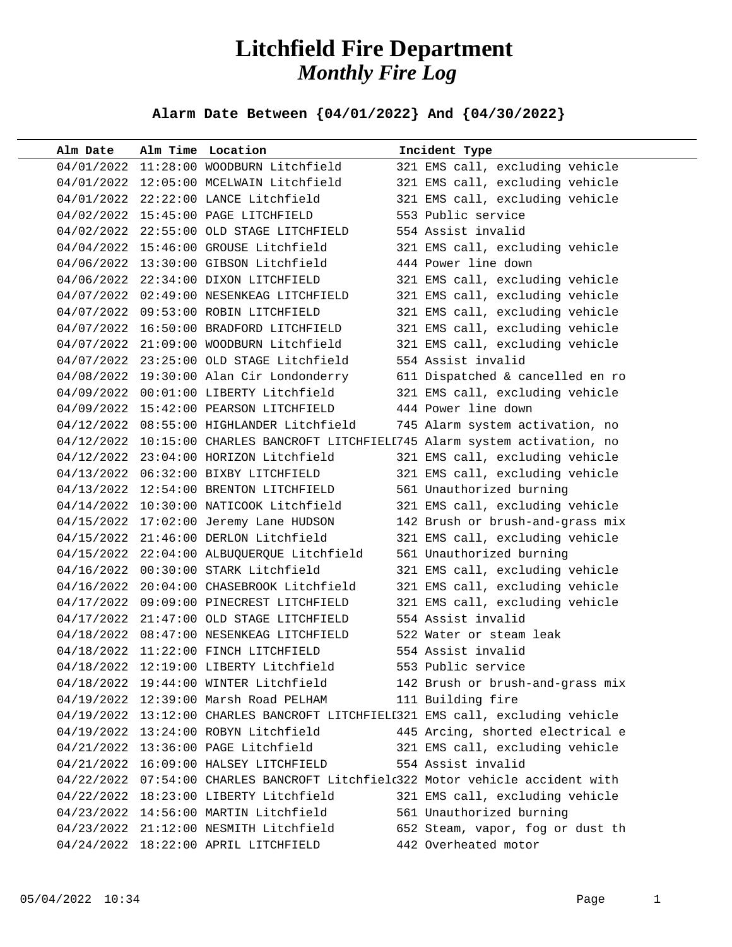## **Litchfield Fire Department** *Monthly Fire Log*

**Alarm Date Between {04/01/2022} And {04/30/2022}** 

| Alm Date   | Alm Time Location                          | Incident Type                                                                  |
|------------|--------------------------------------------|--------------------------------------------------------------------------------|
|            | 04/01/2022 11:28:00 WOODBURN Litchfield    | 321 EMS call, excluding vehicle                                                |
|            | 04/01/2022 12:05:00 MCELWAIN Litchfield    | 321 EMS call, excluding vehicle                                                |
|            | 04/01/2022 22:22:00 LANCE Litchfield       | 321 EMS call, excluding vehicle                                                |
|            | 04/02/2022 15:45:00 PAGE LITCHFIELD        | 553 Public service                                                             |
|            | 04/02/2022 22:55:00 OLD STAGE LITCHFIELD   | 554 Assist invalid                                                             |
|            | 04/04/2022 15:46:00 GROUSE Litchfield      | 321 EMS call, excluding vehicle                                                |
|            | 04/06/2022 13:30:00 GIBSON Litchfield      | 444 Power line down                                                            |
|            | 04/06/2022 22:34:00 DIXON LITCHFIELD       | 321 EMS call, excluding vehicle                                                |
|            | 04/07/2022 02:49:00 NESENKEAG LITCHFIELD   | 321 EMS call, excluding vehicle                                                |
|            | 04/07/2022 09:53:00 ROBIN LITCHFIELD       | 321 EMS call, excluding vehicle                                                |
|            | 04/07/2022 16:50:00 BRADFORD LITCHFIELD    | 321 EMS call, excluding vehicle                                                |
|            | 04/07/2022 21:09:00 WOODBURN Litchfield    | 321 EMS call, excluding vehicle                                                |
|            | 04/07/2022 23:25:00 OLD STAGE Litchfield   | 554 Assist invalid                                                             |
|            | 04/08/2022 19:30:00 Alan Cir Londonderry   | 611 Dispatched & cancelled en ro                                               |
|            | 04/09/2022 00:01:00 LIBERTY Litchfield     | 321 EMS call, excluding vehicle                                                |
|            | 04/09/2022 15:42:00 PEARSON LITCHFIELD     | 444 Power line down                                                            |
|            | 04/12/2022 08:55:00 HIGHLANDER Litchfield  | 745 Alarm system activation, no                                                |
|            |                                            | 04/12/2022 10:15:00 CHARLES BANCROFT LITCHFIELL745 Alarm system activation, no |
|            | 04/12/2022 23:04:00 HORIZON Litchfield     | 321 EMS call, excluding vehicle                                                |
|            | 04/13/2022 06:32:00 BIXBY LITCHFIELD       | 321 EMS call, excluding vehicle                                                |
|            | 04/13/2022 12:54:00 BRENTON LITCHFIELD     | 561 Unauthorized burning                                                       |
|            | 04/14/2022 10:30:00 NATICOOK Litchfield    | 321 EMS call, excluding vehicle                                                |
|            | 04/15/2022 17:02:00 Jeremy Lane HUDSON     | 142 Brush or brush-and-grass mix                                               |
|            | 04/15/2022 21:46:00 DERLON Litchfield      | 321 EMS call, excluding vehicle                                                |
|            | 04/15/2022 22:04:00 ALBUQUERQUE Litchfield | 561 Unauthorized burning                                                       |
|            | 04/16/2022 00:30:00 STARK Litchfield       | 321 EMS call, excluding vehicle                                                |
|            | 04/16/2022 20:04:00 CHASEBROOK Litchfield  | 321 EMS call, excluding vehicle                                                |
|            | 04/17/2022 09:09:00 PINECREST LITCHFIELD   | 321 EMS call, excluding vehicle                                                |
|            | 04/17/2022 21:47:00 OLD STAGE LITCHFIELD   | 554 Assist invalid                                                             |
|            | 04/18/2022 08:47:00 NESENKEAG LITCHFIELD   | 522 Water or steam leak                                                        |
|            | 04/18/2022 11:22:00 FINCH LITCHFIELD       | 554 Assist invalid                                                             |
|            | 04/18/2022 12:19:00 LIBERTY Litchfield     | 553 Public service                                                             |
| 04/18/2022 | 19:44:00 WINTER Litchfield                 | 142 Brush or brush-and-grass mix                                               |
|            | 04/19/2022 12:39:00 Marsh Road PELHAM      | 111 Building fire                                                              |
|            |                                            | 04/19/2022 13:12:00 CHARLES BANCROFT LITCHFIELI321 EMS call, excluding vehicle |
|            | 04/19/2022 13:24:00 ROBYN Litchfield       | 445 Arcing, shorted electrical e                                               |
|            | 04/21/2022 13:36:00 PAGE Litchfield        | 321 EMS call, excluding vehicle                                                |
|            | 04/21/2022 16:09:00 HALSEY LITCHFIELD      | 554 Assist invalid                                                             |
| 04/22/2022 |                                            | 07:54:00 CHARLES BANCROFT Litchfielc322 Motor vehicle accident with            |
| 04/22/2022 | 18:23:00 LIBERTY Litchfield                | 321 EMS call, excluding vehicle                                                |
|            | 04/23/2022 14:56:00 MARTIN Litchfield      | 561 Unauthorized burning                                                       |
|            | 04/23/2022 21:12:00 NESMITH Litchfield     | 652 Steam, vapor, fog or dust th                                               |
|            | 04/24/2022 18:22:00 APRIL LITCHFIELD       | 442 Overheated motor                                                           |